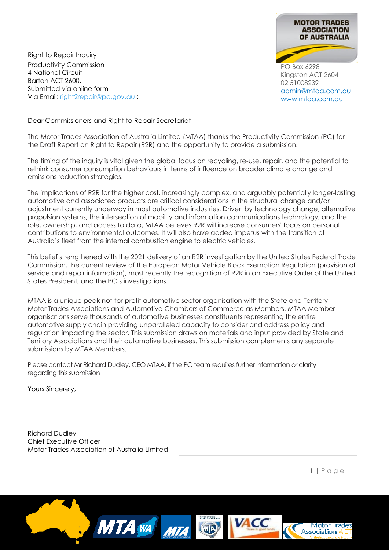**MOTOR TRADES ASSOCIATION** OF AUSTRALIA

PO Box 6298 Kingston ACT 2604 02 51008239 [admin@mtaa.com.au](mailto:admin@mtaa.com.au) [www.mtaa.com.au](http://www.mtaa.com.au/)

Right to Repair Inquiry Productivity Commission 4 National Circuit Barton ACT 2600, Submitted via online form Via Email: right2repair@pc.gov.au ;

Dear Commissioners and Right to Repair Secretariat

The Motor Trades Association of Australia Limited (MTAA) thanks the Productivity Commission (PC) for the Draft Report on Right to Repair (R2R) and the opportunity to provide a submission.

The timing of the inquiry is vital given the global focus on recycling, re-use, repair, and the potential to rethink consumer consumption behaviours in terms of influence on broader climate change and emissions reduction strategies.

The implications of R2R for the higher cost, increasingly complex, and arguably potentially longer-lasting automotive and associated products are critical considerations in the structural change and/or adjustment currently underway in most automotive industries. Driven by technology change, alternative propulsion systems, the intersection of mobility and information communications technology, and the role, ownership, and access to data, MTAA believes R2R will increase consumers' focus on personal contributions to environmental outcomes. It will also have added impetus with the transition of Australia's fleet from the internal combustion engine to electric vehicles.

This belief strengthened with the 2021 delivery of an R2R investigation by the United States Federal Trade Commission, the current review of the European Motor Vehicle Block Exemption Regulation (provision of service and repair information), most recently the recognition of R2R in an Executive Order of the United States President, and the PC's investigations.

MTAA is a unique peak not-for-profit automotive sector organisation with the State and Territory Motor Trades Associations and Automotive Chambers of Commerce as Members. MTAA Member organisations serve thousands of automotive businesses constituents representing the entire automotive supply chain providing unparalleled capacity to consider and address policy and regulation impacting the sector. This submission draws on materials and input provided by State and Territory Associations and their automotive businesses. This submission complements any separate submissions by MTAA Members.

Please contact Mr Richard Dudley, CEO MTAA, if the PC team requires further information or clarity regarding this submission

Yours Sincerely,

Richard Dudley Chief Executive Officer Motor Trades Association of Australia Limited

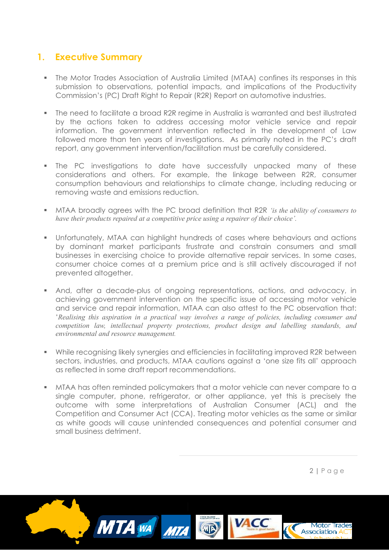# **1. Executive Summary**

- The Motor Trades Association of Australia Limited (MTAA) confines its responses in this submission to observations, potential impacts, and implications of the Productivity Commission's (PC) Draft Right to Repair (R2R) Report on automotive industries.
- The need to facilitate a broad R2R regime in Australia is warranted and best illustrated by the actions taken to address accessing motor vehicle service and repair information. The government intervention reflected in the development of Law followed more than ten years of investigations. As primarily noted in the PC's draft report, any government intervention/facilitation must be carefully considered.
- **The PC investigations to date have successfully unpacked many of these** considerations and others. For example, the linkage between R2R, consumer consumption behaviours and relationships to climate change, including reducing or removing waste and emissions reduction.
- MTAA broadly agrees with the PC broad definition that R2R *'is the ability of consumers to have their products repaired at a competitive price using a repairer of their choice'.*
- Unfortunately, MTAA can highlight hundreds of cases where behaviours and actions by dominant market participants frustrate and constrain consumers and small businesses in exercising choice to provide alternative repair services. In some cases, consumer choice comes at a premium price and is still actively discouraged if not prevented altogether.
- And, after a decade-plus of ongoing representations, actions, and advocacy, in achieving government intervention on the specific issue of accessing motor vehicle and service and repair information, MTAA can also attest to the PC observation that: '*Realising this aspiration in a practical way involves a range of policies, including consumer and competition law, intellectual property protections, product design and labelling standards, and environmental and resource management.*
- While recognising likely synergies and efficiencies in facilitating improved R2R between sectors, industries, and products, MTAA cautions against a 'one size fits all' approach as reflected in some draft report recommendations.
- MTAA has often reminded policymakers that a motor vehicle can never compare to a single computer, phone, refrigerator, or other appliance, yet this is precisely the outcome with some interpretations of Australian Consumer (ACL) and the Competition and Consumer Act (CCA). Treating motor vehicles as the same or similar as white goods will cause unintended consequences and potential consumer and small business detriment.

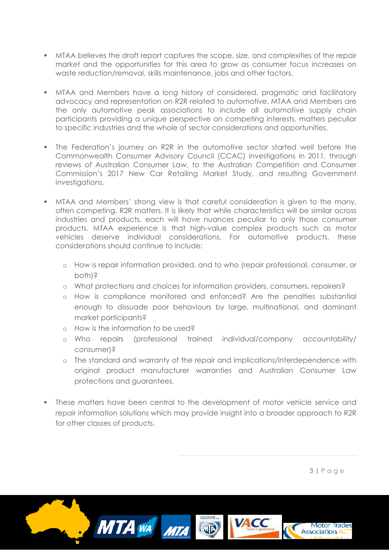- MTAA believes the draft report captures the scope, size, and complexities of the repair market and the opportunities for this area to grow as consumer focus increases on waste reduction/removal, skills maintenance, jobs and other factors.
- MTAA and Members have a long history of considered, pragmatic and facilitatory advocacy and representation on R2R related to automotive. MTAA and Members are the only automotive peak associations to include all automotive supply chain participants providing a unique perspective on competing interests, matters peculiar to specific industries and the whole of sector considerations and opportunities.
- The Federation's journey on R2R in the automotive sector started well before the Commonwealth Consumer Advisory Council (CCAC) investigations in 2011, through reviews of Australian Consumer Law, to the Australian Competition and Consumer Commission's 2017 New Car Retailing Market Study, and resulting Government investigations.
- MTAA and Members' strong view is that careful consideration is given to the many, often competing, R2R matters. It is likely that while characteristics will be similar across industries and products, each will have nuances peculiar to only those consumer products. MTAA experience is that high-value complex products such as motor vehicles deserve individual considerations. For automotive products, these considerations should continue to include:
	- o How is repair information provided, and to who (repair professional, consumer, or both)?
	- o What protections and choices for information providers, consumers, repairers?
	- o How is compliance monitored and enforced? Are the penalties substantial enough to dissuade poor behaviours by large, multinational, and dominant market participants?
	- o How is the information to be used?
	- o Who repairs (professional trained individual/company accountability/ consumer)?
	- o The standard and warranty of the repair and implications/interdependence with original product manufacturer warranties and Australian Consumer Law protections and guarantees.
- These matters have been central to the development of motor vehicle service and repair information solutions which may provide insight into a broader approach to R2R for other classes of products.

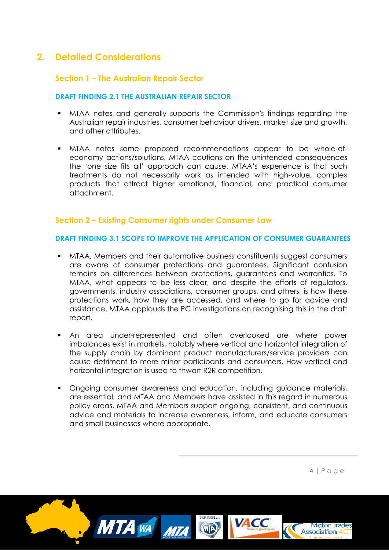# **2. Detailed Considerations**

## **Section 1 – The Australian Repair Sector**

#### **DRAFT FINDING 2.1 THE AUSTRALIAN REPAIR SECTOR**

- MTAA notes and generally supports the Commission's findings regarding the Australian repair industries, consumer behaviour drivers, market size and growth, and other attributes.
- MTAA notes some proposed recommendations appear to be whole-ofeconomy actions/solutions. MTAA cautions on the unintended consequences the 'one size fits all' approach can cause. MTAA's experience is that such treatments do not necessarily work as intended with high-value, complex products that attract higher emotional, financial, and practical consumer attachment.

## **Section 2 – Existing Consumer rights under Consumer Law**

#### **DRAFT FINDING 3.1 SCOPE TO IMPROVE THE APPLICATION OF CONSUMER GUARANTEES**

- MTAA, Members and their automotive business constituents suggest consumers are aware of consumer protections and guarantees. Significant confusion remains on differences between protections, guarantees and warranties. To MTAA, what appears to be less clear, and despite the efforts of regulators, governments, industry associations, consumer groups, and others, is how these protections work, how they are accessed, and where to go for advice and assistance. MTAA applauds the PC investigations on recognising this in the draft report.
- An area under-represented and often overlooked are where power imbalances exist in markets, notably where vertical and horizontal integration of the supply chain by dominant product manufacturers/service providers can cause detriment to more minor participants and consumers. How vertical and horizontal integration is used to thwart R2R competition.
- Ongoing consumer awareness and education, including guidance materials, are essential, and MTAA and Members have assisted in this regard in numerous policy areas. MTAA and Members support ongoing, consistent, and continuous advice and materials to increase awareness, inform, and educate consumers and small businesses where appropriate.

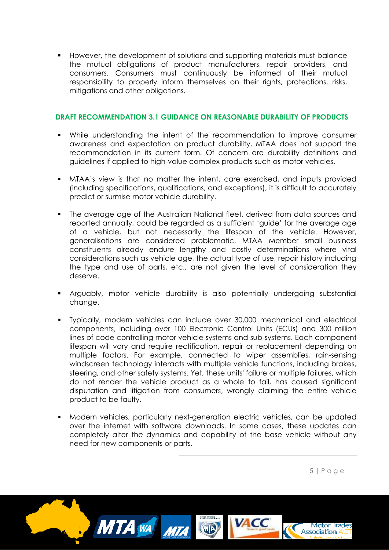However, the development of solutions and supporting materials must balance the mutual obligations of product manufacturers, repair providers, and consumers. Consumers must continuously be informed of their mutual responsibility to properly inform themselves on their rights, protections, risks, mitigations and other obligations.

### **DRAFT RECOMMENDATION 3.1 GUIDANCE ON REASONABLE DURABILITY OF PRODUCTS**

- While understanding the intent of the recommendation to improve consumer awareness and expectation on product durability, MTAA does not support the recommendation in its current form. Of concern are durability definitions and guidelines if applied to high-value complex products such as motor vehicles.
- MTAA's view is that no matter the intent, care exercised, and inputs provided (including specifications, qualifications, and exceptions), it is difficult to accurately predict or surmise motor vehicle durability.
- The average age of the Australian National fleet, derived from data sources and reported annually, could be regarded as a sufficient 'guide' for the average age of a vehicle, but not necessarily the lifespan of the vehicle. However, generalisations are considered problematic. MTAA Member small business constituents already endure lengthy and costly determinations where vital considerations such as vehicle age, the actual type of use, repair history including the type and use of parts, etc., are not given the level of consideration they deserve.
- Arguably, motor vehicle durability is also potentially undergoing substantial change.
- Typically, modern vehicles can include over 30,000 mechanical and electrical components, including over 100 Electronic Control Units (ECUs) and 300 million lines of code controlling motor vehicle systems and sub-systems. Each component lifespan will vary and require rectification, repair or replacement depending on multiple factors. For example, connected to wiper assemblies, rain-sensing windscreen technology interacts with multiple vehicle functions, including brakes, steering, and other safety systems. Yet, these units' failure or multiple failures, which do not render the vehicle product as a whole to fail, has caused significant disputation and litigation from consumers, wrongly claiming the entire vehicle product to be faulty.
- Modern vehicles, particularly next-generation electric vehicles, can be updated over the internet with software downloads. In some cases, these updates can completely alter the dynamics and capability of the base vehicle without any need for new components or parts.

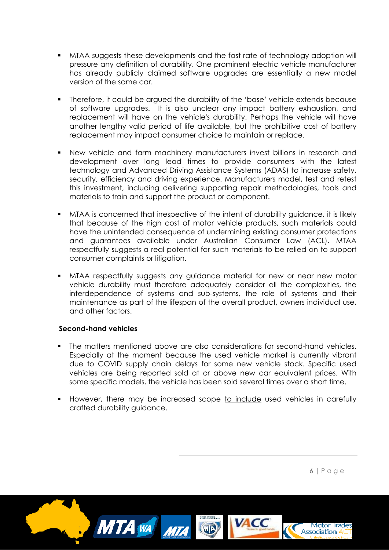- MTAA suggests these developments and the fast rate of technology adoption will pressure any definition of durability. One prominent electric vehicle manufacturer has already publicly claimed software upgrades are essentially a new model version of the same car.
- Therefore, it could be argued the durability of the 'base' vehicle extends because of software upgrades. It is also unclear any impact battery exhaustion, and replacement will have on the vehicle's durability. Perhaps the vehicle will have another lengthy valid period of life available, but the prohibitive cost of battery replacement may impact consumer choice to maintain or replace.
- New vehicle and farm machinery manufacturers invest billions in research and development over long lead times to provide consumers with the latest technology and Advanced Driving Assistance Systems (ADAS) to increase safety, security, efficiency and driving experience. Manufacturers model, test and retest this investment, including delivering supporting repair methodologies, tools and materials to train and support the product or component.
- MTAA is concerned that irrespective of the intent of durability guidance, it is likely that because of the high cost of motor vehicle products, such materials could have the unintended consequence of undermining existing consumer protections and guarantees available under Australian Consumer Law (ACL). MTAA respectfully suggests a real potential for such materials to be relied on to support consumer complaints or litigation.
- MTAA respectfully suggests any guidance material for new or near new motor vehicle durability must therefore adequately consider all the complexities, the interdependence of systems and sub-systems, the role of systems and their maintenance as part of the lifespan of the overall product, owners individual use, and other factors.

## **Second-hand vehicles**

- The matters mentioned above are also considerations for second-hand vehicles. Especially at the moment because the used vehicle market is currently vibrant due to COVID supply chain delays for some new vehicle stock. Specific used vehicles are being reported sold at or above new car equivalent prices. With some specific models, the vehicle has been sold several times over a short time.
- However, there may be increased scope to include used vehicles in carefully crafted durability guidance.

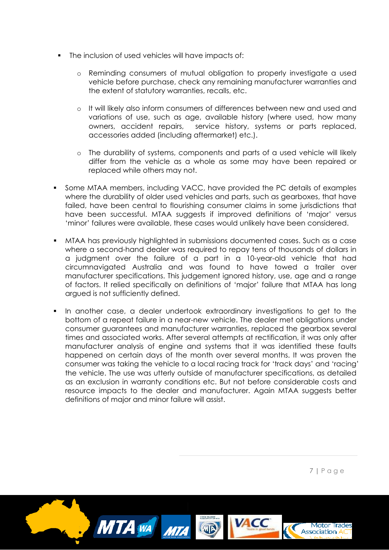- The inclusion of used vehicles will have impacts of:
	- o Reminding consumers of mutual obligation to properly investigate a used vehicle before purchase, check any remaining manufacturer warranties and the extent of statutory warranties, recalls, etc.
	- o It will likely also inform consumers of differences between new and used and variations of use, such as age, available history (where used, how many owners, accident repairs, service history, systems or parts replaced, accessories added (including aftermarket) etc.).
	- o The durability of systems, components and parts of a used vehicle will likely differ from the vehicle as a whole as some may have been repaired or replaced while others may not.
- Some MTAA members, including VACC, have provided the PC details of examples where the durability of older used vehicles and parts, such as gearboxes, that have failed, have been central to flourishing consumer claims in some jurisdictions that have been successful. MTAA suggests if improved definitions of 'major' versus 'minor' failures were available, these cases would unlikely have been considered.
- MTAA has previously highlighted in submissions documented cases. Such as a case where a second-hand dealer was required to repay tens of thousands of dollars in a judgment over the failure of a part in a 10-year-old vehicle that had circumnavigated Australia and was found to have towed a trailer over manufacturer specifications. This judgement ignored history, use, age and a range of factors. It relied specifically on definitions of 'major' failure that MTAA has long argued is not sufficiently defined.
- In another case, a dealer undertook extraordinary investigations to get to the bottom of a repeat failure in a near-new vehicle. The dealer met obligations under consumer guarantees and manufacturer warranties, replaced the gearbox several times and associated works. After several attempts at rectification, it was only after manufacturer analysis of engine and systems that it was identified these faults happened on certain days of the month over several months. It was proven the consumer was taking the vehicle to a local racing track for 'track days' and 'racing' the vehicle. The use was utterly outside of manufacturer specifications, as detailed as an exclusion in warranty conditions etc. But not before considerable costs and resource impacts to the dealer and manufacturer. Again MTAA suggests better definitions of major and minor failure will assist.

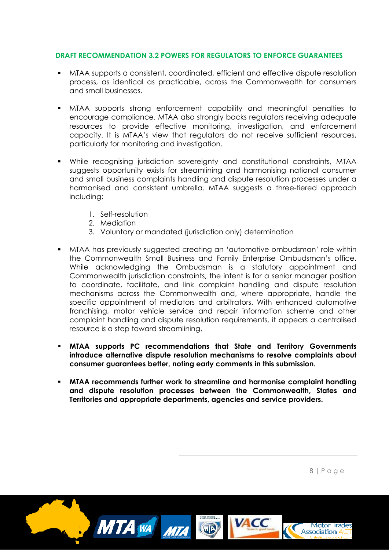#### **DRAFT RECOMMENDATION 3.2 POWERS FOR REGULATORS TO ENFORCE GUARANTEES**

- MTAA supports a consistent, coordinated, efficient and effective dispute resolution process, as identical as practicable, across the Commonwealth for consumers and small businesses.
- MTAA supports strong enforcement capability and meaningful penalties to encourage compliance. MTAA also strongly backs regulators receiving adequate resources to provide effective monitoring, investigation, and enforcement capacity. It is MTAA's view that regulators do not receive sufficient resources, particularly for monitoring and investigation.
- While recognising jurisdiction sovereignty and constitutional constraints, MTAA suggests opportunity exists for streamlining and harmonising national consumer and small business complaints handling and dispute resolution processes under a harmonised and consistent umbrella. MTAA suggests a three-tiered approach including:
	- 1. Self-resolution
	- 2. Mediation
	- 3. Voluntary or mandated (jurisdiction only) determination
- MTAA has previously suggested creating an 'automotive ombudsman' role within the Commonwealth Small Business and Family Enterprise Ombudsman's office. While acknowledging the Ombudsman is a statutory appointment and Commonwealth jurisdiction constraints, the intent is for a senior manager position to coordinate, facilitate, and link complaint handling and dispute resolution mechanisms across the Commonwealth and, where appropriate, handle the specific appointment of mediators and arbitrators. With enhanced automotive franchising, motor vehicle service and repair information scheme and other complaint handling and dispute resolution requirements, it appears a centralised resource is a step toward streamlining.
- **MTAA supports PC recommendations that State and Territory Governments introduce alternative dispute resolution mechanisms to resolve complaints about consumer guarantees better, noting early comments in this submission.**
- **MTAA recommends further work to streamline and harmonise complaint handling and dispute resolution processes between the Commonwealth, States and Territories and appropriate departments, agencies and service providers.**



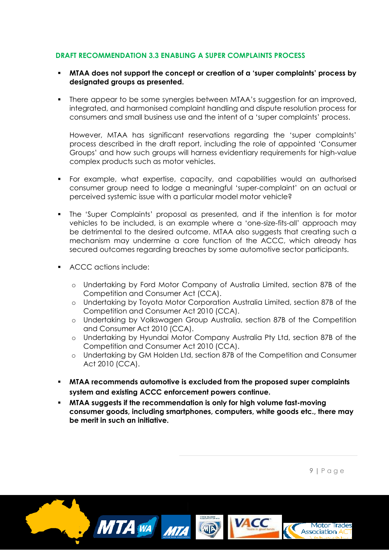## **DRAFT RECOMMENDATION 3.3 ENABLING A SUPER COMPLAINTS PROCESS**

- **MTAA does not support the concept or creation of a 'super complaints' process by designated groups as presented.**
- There appear to be some synergies between MTAA's suggestion for an improved, integrated, and harmonised complaint handling and dispute resolution process for consumers and small business use and the intent of a 'super complaints' process.

However, MTAA has significant reservations regarding the 'super complaints' process described in the draft report, including the role of appointed 'Consumer Groups' and how such groups will harness evidentiary requirements for high-value complex products such as motor vehicles.

- For example, what expertise, capacity, and capabilities would an authorised consumer group need to lodge a meaningful 'super-complaint' on an actual or perceived systemic issue with a particular model motor vehicle?
- The 'Super Complaints' proposal as presented, and if the intention is for motor vehicles to be included, is an example where a 'one-size-fits-all' approach may be detrimental to the desired outcome. MTAA also suggests that creating such a mechanism may undermine a core function of the ACCC, which already has secured outcomes regarding breaches by some automotive sector participants.
- ACCC actions include:
	- o Undertaking by Ford Motor Company of Australia Limited, section 87B of the Competition and Consumer Act (CCA).
	- o Undertaking by Toyota Motor Corporation Australia Limited, section 87B of the Competition and Consumer Act 2010 (CCA).
	- o Undertaking by Volkswagen Group Australia, section 87B of the Competition and Consumer Act 2010 (CCA).
	- o Undertaking by Hyundai Motor Company Australia Pty Ltd, section 87B of the Competition and Consumer Act 2010 (CCA).
	- o Undertaking by GM Holden Ltd, section 87B of the Competition and Consumer Act 2010 (CCA).
- **MTAA recommends automotive is excluded from the proposed super complaints system and existing ACCC enforcement powers continue.**
- **MTAA suggests if the recommendation is only for high volume fast-moving consumer goods, including smartphones, computers, white goods etc., there may be merit in such an initiative.**

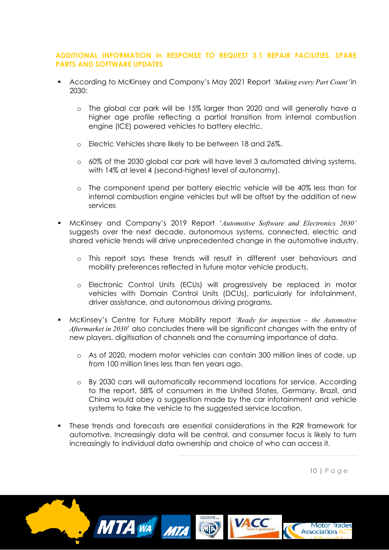## **ADDITIONAL INFORMATION In RESPONSE TO REQUEST 3.1 REPAIR FACILITIES, SPARE PARTS AND SOFTWARE UPDATES**

- According to McKinsey and Company's May 2021 Report *'Making every Part Count'*in 2030:
	- o The global car park will be 15% larger than 2020 and will generally have a higher age profile reflecting a partial transition from internal combustion engine (ICE) powered vehicles to battery electric.
	- o Electric Vehicles share likely to be between 18 and 26%.
	- o 60% of the 2030 global car park will have level 3 automated driving systems, with 14% at level 4 (second-highest level of autonomy).
	- o The component spend per battery electric vehicle will be 40% less than for internal combustion engine vehicles but will be offset by the addition of new services
- McKinsey and Company's 2019 Report '*Automotive Software and Electronics 2030'* suggests over the next decade, autonomous systems, connected, electric and shared vehicle trends will drive unprecedented change in the automotive industry.
	- o This report says these trends will result in different user behaviours and mobility preferences reflected in future motor vehicle products.
	- o Electronic Control Units (ECUs) will progressively be replaced in motor vehicles with Domain Control Units (DCUs), particularly for infotainment, driver assistance, and autonomous driving programs.
- McKinsey's Centre for Future Mobility report *'Ready for inspection – the Automotive Aftermarket in 2030*' also concludes there will be significant changes with the entry of new players, digitisation of channels and the consuming importance of data.
	- o As of 2020, modern motor vehicles can contain 300 million lines of code, up from 100 million lines less than ten years ago.
	- o By 2030 cars will automatically recommend locations for service. According to the report, 58% of consumers in the United States, Germany, Brazil, and China would obey a suggestion made by the car infotainment and vehicle systems to take the vehicle to the suggested service location.
- These trends and forecasts are essential considerations in the R2R framework for automotive. Increasingly data will be central, and consumer focus is likely to turn increasingly to individual data ownership and choice of who can access it.

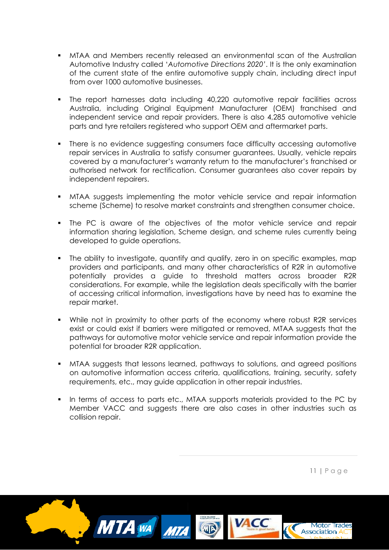- MTAA and Members recently released an environmental scan of the Australian Automotive Industry called '*Automotive Directions 2020'*. It is the only examination of the current state of the entire automotive supply chain, including direct input from over 1000 automotive businesses.
- The report harnesses data including 40,220 automotive repair facilities across Australia, including Original Equipment Manufacturer (OEM) franchised and independent service and repair providers. There is also 4,285 automotive vehicle parts and tyre retailers registered who support OEM and aftermarket parts.
- There is no evidence suggesting consumers face difficulty accessing automotive repair services in Australia to satisfy consumer guarantees. Usually, vehicle repairs covered by a manufacturer's warranty return to the manufacturer's franchised or authorised network for rectification. Consumer guarantees also cover repairs by independent repairers.
- MTAA suggests implementing the motor vehicle service and repair information scheme (Scheme) to resolve market constraints and strengthen consumer choice.
- The PC is aware of the objectives of the motor vehicle service and repair information sharing legislation, Scheme design, and scheme rules currently being developed to guide operations.
- The ability to investigate, quantify and qualify, zero in on specific examples, map providers and participants, and many other characteristics of R2R in automotive potentially provides a guide to threshold matters across broader R2R considerations. For example, while the legislation deals specifically with the barrier of accessing critical information, investigations have by need has to examine the repair market.
- While not in proximity to other parts of the economy where robust R2R services exist or could exist if barriers were mitigated or removed, MTAA suggests that the pathways for automotive motor vehicle service and repair information provide the potential for broader R2R application.
- MTAA suggests that lessons learned, pathways to solutions, and agreed positions on automotive information access criteria, qualifications, training, security, safety requirements, etc., may guide application in other repair industries.
- In terms of access to parts etc., MTAA supports materials provided to the PC by Member VACC and suggests there are also cases in other industries such as collision repair.

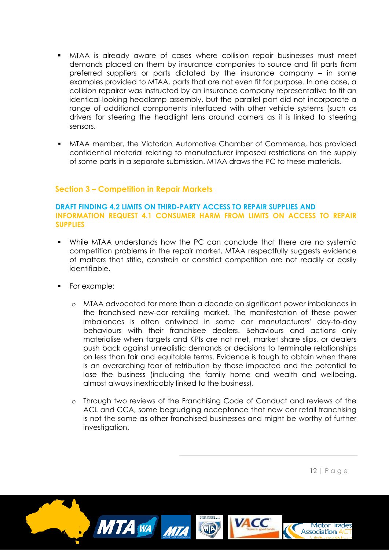- MTAA is already aware of cases where collision repair businesses must meet demands placed on them by insurance companies to source and fit parts from preferred suppliers or parts dictated by the insurance company – in some examples provided to MTAA, parts that are not even fit for purpose. In one case, a collision repairer was instructed by an insurance company representative to fit an identical-looking headlamp assembly, but the parallel part did not incorporate a range of additional components interfaced with other vehicle systems (such as drivers for steering the headlight lens around corners as it is linked to steering sensors.
- MTAA member, the Victorian Automotive Chamber of Commerce, has provided confidential material relating to manufacturer imposed restrictions on the supply of some parts in a separate submission. MTAA draws the PC to these materials.

## **Section 3 – Competition in Repair Markets**

#### **DRAFT FINDING 4.2 LIMITS ON THIRD-PARTY ACCESS TO REPAIR SUPPLIES AND INFORMATION REQUEST 4.1 CONSUMER HARM FROM LIMITS ON ACCESS TO REPAIR SUPPLIES**

- While MTAA understands how the PC can conclude that there are no systemic competition problems in the repair market, MTAA respectfully suggests evidence of matters that stifle, constrain or constrict competition are not readily or easily identifiable.
- For example:
	- o MTAA advocated for more than a decade on significant power imbalances in the franchised new-car retailing market. The manifestation of these power imbalances is often entwined in some car manufacturers' day-to-day behaviours with their franchisee dealers. Behaviours and actions only materialise when targets and KPIs are not met, market share slips, or dealers push back against unrealistic demands or decisions to terminate relationships on less than fair and equitable terms. Evidence is tough to obtain when there is an overarching fear of retribution by those impacted and the potential to lose the business (including the family home and wealth and wellbeing, almost always inextricably linked to the business).
	- o Through two reviews of the Franchising Code of Conduct and reviews of the ACL and CCA, some begrudging acceptance that new car retail franchising is not the same as other franchised businesses and might be worthy of further investigation.

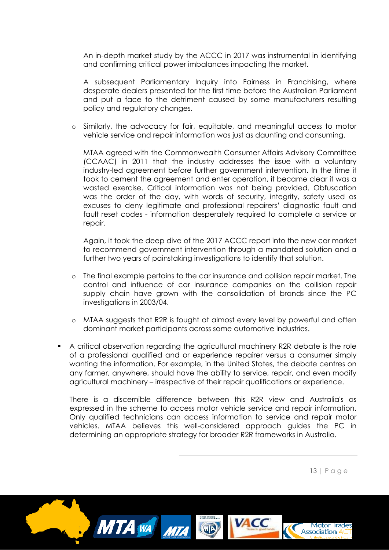An in-depth market study by the ACCC in 2017 was instrumental in identifying and confirming critical power imbalances impacting the market.

A subsequent Parliamentary Inquiry into Fairness in Franchising, where desperate dealers presented for the first time before the Australian Parliament and put a face to the detriment caused by some manufacturers resulting policy and regulatory changes.

Similarly, the advocacy for fair, equitable, and meaningful access to motor vehicle service and repair information was just as daunting and consuming.

MTAA agreed with the Commonwealth Consumer Affairs Advisory Committee (CCAAC) in 2011 that the industry addresses the issue with a voluntary industry-led agreement before further government intervention. In the time it took to cement the agreement and enter operation, it became clear it was a wasted exercise. Critical information was not being provided. Obfuscation was the order of the day, with words of security, integrity, safety used as excuses to deny legitimate and professional repairers' diagnostic fault and fault reset codes - information desperately required to complete a service or repair.

Again, it took the deep dive of the 2017 ACCC report into the new car market to recommend government intervention through a mandated solution and a further two years of painstaking investigations to identify that solution.

- The final example pertains to the car insurance and collision repair market. The control and influence of car insurance companies on the collision repair supply chain have grown with the consolidation of brands since the PC investigations in 2003/04.
- o MTAA suggests that R2R is fought at almost every level by powerful and often dominant market participants across some automotive industries.
- A critical observation regarding the agricultural machinery R2R debate is the role of a professional qualified and or experience repairer versus a consumer simply wanting the information. For example, in the United States, the debate centres on any farmer, anywhere, should have the ability to service, repair, and even modify agricultural machinery – irrespective of their repair qualifications or experience.

There is a discernible difference between this R2R view and Australia's as expressed in the scheme to access motor vehicle service and repair information. Only qualified technicians can access information to service and repair motor vehicles. MTAA believes this well-considered approach guides the PC in determining an appropriate strategy for broader R2R frameworks in Australia.

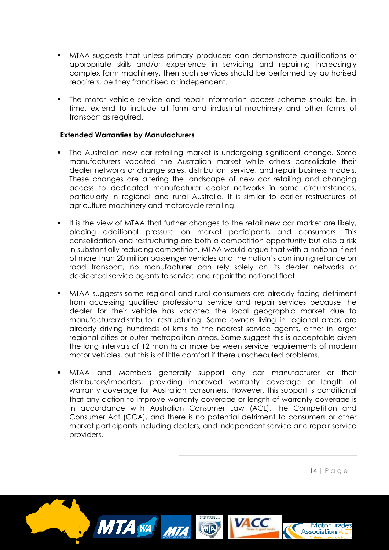- MTAA suggests that unless primary producers can demonstrate qualifications or appropriate skills and/or experience in servicing and repairing increasingly complex farm machinery, then such services should be performed by authorised repairers, be they franchised or independent.
- The motor vehicle service and repair information access scheme should be, in time, extend to include all farm and industrial machinery and other forms of transport as required.

### **Extended Warranties by Manufacturers**

- The Australian new car retailing market is undergoing significant change. Some manufacturers vacated the Australian market while others consolidate their dealer networks or change sales, distribution, service, and repair business models. These changes are altering the landscape of new car retailing and changing access to dedicated manufacturer dealer networks in some circumstances, particularly in regional and rural Australia. It is similar to earlier restructures of agriculture machinery and motorcycle retailing.
- It is the view of MTAA that further changes to the retail new car market are likely, placing additional pressure on market participants and consumers. This consolidation and restructuring are both a competition opportunity but also a risk in substantially reducing competition. MTAA would argue that with a national fleet of more than 20 million passenger vehicles and the nation's continuing reliance on road transport, no manufacturer can rely solely on its dealer networks or dedicated service agents to service and repair the national fleet.
- MTAA suggests some regional and rural consumers are already facing detriment from accessing qualified professional service and repair services because the dealer for their vehicle has vacated the local geographic market due to manufacturer/distributor restructuring. Some owners living in regional areas are already driving hundreds of km's to the nearest service agents, either in larger regional cities or outer metropolitan areas. Some suggest this is acceptable given the long intervals of 12 months or more between service requirements of modern motor vehicles, but this is of little comfort if there unscheduled problems.
- MTAA and Members generally support any car manufacturer or their distributors/importers, providing improved warranty coverage or length of warranty coverage for Australian consumers. However, this support is conditional that any action to improve warranty coverage or length of warranty coverage is in accordance with Australian Consumer Law (ACL), the Competition and Consumer Act (CCA), and there is no potential detriment to consumers or other market participants including dealers, and independent service and repair service providers.

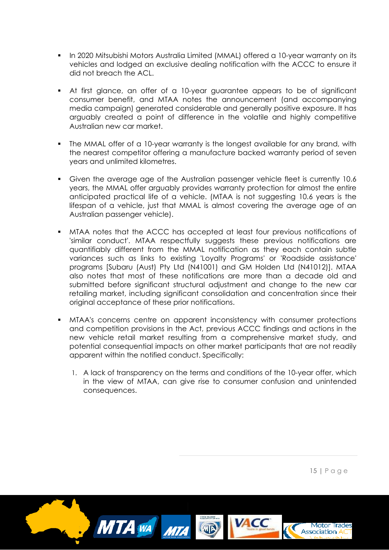- In 2020 Mitsubishi Motors Australia Limited (MMAL) offered a 10-year warranty on its vehicles and lodged an exclusive dealing notification with the ACCC to ensure it did not breach the ACL.
- At first glance, an offer of a 10-year guarantee appears to be of significant consumer benefit, and MTAA notes the announcement (and accompanying media campaign) generated considerable and generally positive exposure. It has arguably created a point of difference in the volatile and highly competitive Australian new car market.
- The MMAL offer of a 10-year warranty is the longest available for any brand, with the nearest competitor offering a manufacture backed warranty period of seven years and unlimited kilometres.
- Given the average age of the Australian passenger vehicle fleet is currently 10.6 years, the MMAL offer arguably provides warranty protection for almost the entire anticipated practical life of a vehicle. (MTAA is not suggesting 10.6 years is the lifespan of a vehicle, just that MMAL is almost covering the average age of an Australian passenger vehicle).
- MTAA notes that the ACCC has accepted at least four previous notifications of 'similar conduct'. MTAA respectfully suggests these previous notifications are quantifiably different from the MMAL notification as they each contain subtle variances such as links to existing 'Loyalty Programs' or 'Roadside assistance' programs [Subaru (Aust) Pty Ltd (N41001) and GM Holden Ltd (N41012)]. MTAA also notes that most of these notifications are more than a decade old and submitted before significant structural adjustment and change to the new car retailing market, including significant consolidation and concentration since their original acceptance of these prior notifications.
- MTAA's concerns centre on apparent inconsistency with consumer protections and competition provisions in the Act, previous ACCC findings and actions in the new vehicle retail market resulting from a comprehensive market study, and potential consequential impacts on other market participants that are not readily apparent within the notified conduct. Specifically:
	- 1. A lack of transparency on the terms and conditions of the 10-year offer, which in the view of MTAA, can give rise to consumer confusion and unintended consequences.

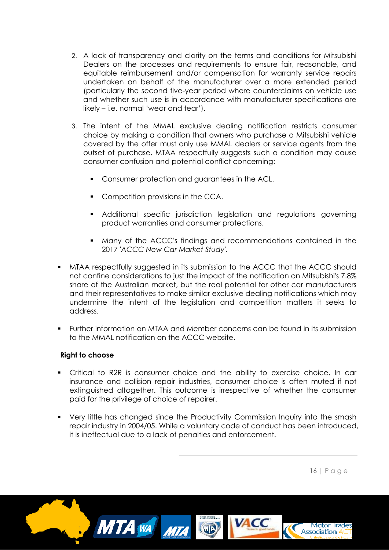- 2. A lack of transparency and clarity on the terms and conditions for Mitsubishi Dealers on the processes and requirements to ensure fair, reasonable, and equitable reimbursement and/or compensation for warranty service repairs undertaken on behalf of the manufacturer over a more extended period (particularly the second five-year period where counterclaims on vehicle use and whether such use is in accordance with manufacturer specifications are likely – i.e. normal 'wear and tear').
- 3. The intent of the MMAL exclusive dealing notification restricts consumer choice by making a condition that owners who purchase a Mitsubishi vehicle covered by the offer must only use MMAL dealers or service agents from the outset of purchase. MTAA respectfully suggests such a condition may cause consumer confusion and potential conflict concerning:
	- Consumer protection and guarantees in the ACL.
	- Competition provisions in the CCA.
	- Additional specific jurisdiction legislation and regulations governing product warranties and consumer protections.
	- Many of the ACCC's findings and recommendations contained in the 2017 '*ACCC New Car Market Study'.*
- MTAA respectfully suggested in its submission to the ACCC that the ACCC should not confine considerations to just the impact of the notification on Mitsubishi's 7.8% share of the Australian market, but the real potential for other car manufacturers and their representatives to make similar exclusive dealing notifications which may undermine the intent of the legislation and competition matters it seeks to address.
- Further information on MTAA and Member concerns can be found in its submission to the MMAL notification on the ACCC website.

## **Right to choose**

- Critical to R2R is consumer choice and the ability to exercise choice. In car insurance and collision repair industries, consumer choice is often muted if not extinguished altogether. This outcome is irrespective of whether the consumer paid for the privilege of choice of repairer.
- Very little has changed since the Productivity Commission Inquiry into the smash repair industry in 2004/05. While a voluntary code of conduct has been introduced, it is ineffectual due to a lack of penalties and enforcement.

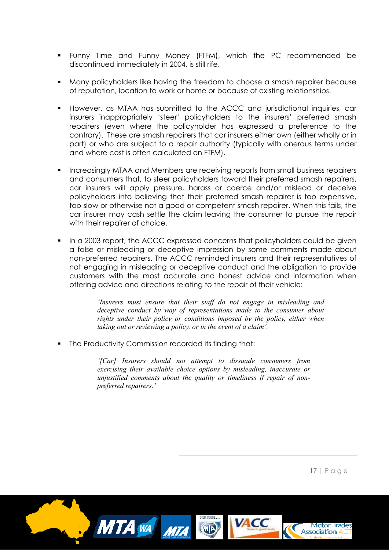- Funny Time and Funny Money (FTFM), which the PC recommended be discontinued immediately in 2004, is still rife.
- Many policyholders like having the freedom to choose a smash repairer because of reputation, location to work or home or because of existing relationships.
- However, as MTAA has submitted to the ACCC and jurisdictional inquiries, car insurers inappropriately 'steer' policyholders to the insurers' preferred smash repairers (even where the policyholder has expressed a preference to the contrary). These are smash repairers that car insurers either own (either wholly or in part) or who are subject to a repair authority (typically with onerous terms under and where cost is often calculated on FTFM).
- Increasingly MTAA and Members are receiving reports from small business repairers and consumers that, to steer policyholders toward their preferred smash repairers, car insurers will apply pressure, harass or coerce and/or mislead or deceive policyholders into believing that their preferred smash repairer is too expensive, too slow or otherwise not a good or competent smash repairer. When this fails, the car insurer may cash settle the claim leaving the consumer to pursue the repair with their repairer of choice.
- In a 2003 report, the ACCC expressed concerns that policyholders could be given a false or misleading or deceptive impression by some comments made about non-preferred repairers. The ACCC reminded insurers and their representatives of not engaging in misleading or deceptive conduct and the obligation to provide customers with the most accurate and honest advice and information when offering advice and directions relating to the repair of their vehicle:

*'Insurers must ensure that their staff do not engage in misleading and deceptive conduct by way of representations made to the consumer about rights under their policy or conditions imposed by the policy, either when taking out or reviewing a policy, or in the event of a claim'.* 

• The Productivity Commission recorded its finding that:

*'[Car] Insurers should not attempt to dissuade consumers from exercising their available choice options by misleading, inaccurate or unjustified comments about the quality or timeliness if repair of nonpreferred repairers.'*

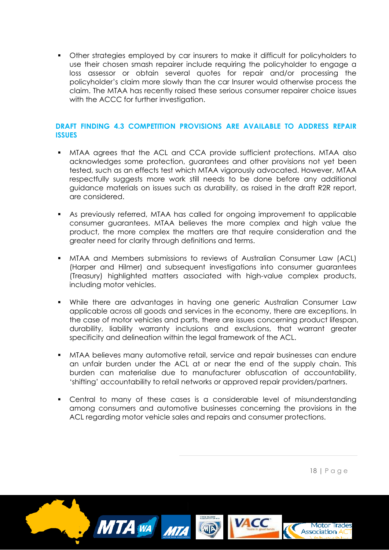Other strategies employed by car insurers to make it difficult for policyholders to use their chosen smash repairer include requiring the policyholder to engage a loss assessor or obtain several quotes for repair and/or processing the policyholder's claim more slowly than the car Insurer would otherwise process the claim. The MTAA has recently raised these serious consumer repairer choice issues with the ACCC for further investigation.

## **DRAFT FINDING 4.3 COMPETITION PROVISIONS ARE AVAILABLE TO ADDRESS REPAIR ISSUES**

- MTAA agrees that the ACL and CCA provide sufficient protections. MTAA also acknowledges some protection, guarantees and other provisions not yet been tested, such as an effects test which MTAA vigorously advocated. However, MTAA respectfully suggests more work still needs to be done before any additional guidance materials on issues such as durability, as raised in the draft R2R report, are considered.
- As previously referred, MTAA has called for ongoing improvement to applicable consumer guarantees. MTAA believes the more complex and high value the product, the more complex the matters are that require consideration and the greater need for clarity through definitions and terms.
- MTAA and Members submissions to reviews of Australian Consumer Law (ACL) (Harper and Hilmer) and subsequent investigations into consumer guarantees (Treasury) highlighted matters associated with high-value complex products, including motor vehicles.
- While there are advantages in having one generic Australian Consumer Law applicable across all goods and services in the economy, there are exceptions. In the case of motor vehicles and parts, there are issues concerning product lifespan, durability, liability warranty inclusions and exclusions, that warrant greater specificity and delineation within the legal framework of the ACL.
- MTAA believes many automotive retail, service and repair businesses can endure an unfair burden under the ACL at or near the end of the supply chain. This burden can materialise due to manufacturer obfuscation of accountability, 'shifting' accountability to retail networks or approved repair providers/partners.
- Central to many of these cases is a considerable level of misunderstanding among consumers and automotive businesses concerning the provisions in the ACL regarding motor vehicle sales and repairs and consumer protections.

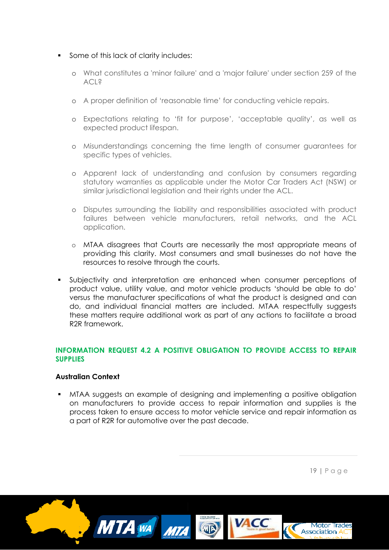#### Some of this lack of clarity includes:

- o What constitutes a 'minor failure' and a 'major failure' under section 259 of the ACL?
- o A proper definition of 'reasonable time' for conducting vehicle repairs.
- o Expectations relating to 'fit for purpose', 'acceptable quality', as well as expected product lifespan.
- o Misunderstandings concerning the time length of consumer guarantees for specific types of vehicles.
- o Apparent lack of understanding and confusion by consumers regarding statutory warranties as applicable under the Motor Car Traders Act (NSW) or similar jurisdictional legislation and their rights under the ACL.
- o Disputes surrounding the liability and responsibilities associated with product failures between vehicle manufacturers, retail networks, and the ACL application.
- o MTAA disagrees that Courts are necessarily the most appropriate means of providing this clarity. Most consumers and small businesses do not have the resources to resolve through the courts.
- Subjectivity and interpretation are enhanced when consumer perceptions of product value, utility value, and motor vehicle products 'should be able to do' versus the manufacturer specifications of what the product is designed and can do, and individual financial matters are included. MTAA respectfully suggests these matters require additional work as part of any actions to facilitate a broad R2R framework.

## **INFORMATION REQUEST 4.2 A POSITIVE OBLIGATION TO PROVIDE ACCESS TO REPAIR SUPPLIES**

## **Australian Context**

 MTAA suggests an example of designing and implementing a positive obligation on manufacturers to provide access to repair information and supplies is the process taken to ensure access to motor vehicle service and repair information as a part of R2R for automotive over the past decade.

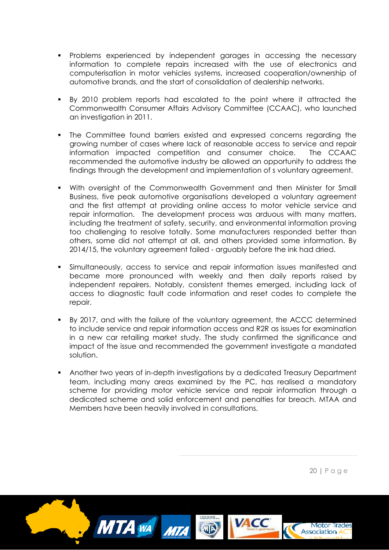- Problems experienced by independent garages in accessing the necessary information to complete repairs increased with the use of electronics and computerisation in motor vehicles systems, increased cooperation/ownership of automotive brands, and the start of consolidation of dealership networks.
- By 2010 problem reports had escalated to the point where it attracted the Commonwealth Consumer Affairs Advisory Committee (CCAAC), who launched an investigation in 2011.
- The Committee found barriers existed and expressed concerns regarding the growing number of cases where lack of reasonable access to service and repair information impacted competition and consumer choice. The CCAAC recommended the automotive industry be allowed an opportunity to address the findings through the development and implementation of s voluntary agreement.
- With oversight of the Commonwealth Government and then Minister for Small Business, five peak automotive organisations developed a voluntary agreement and the first attempt at providing online access to motor vehicle service and repair information. The development process was arduous with many matters, including the treatment of safety, security, and environmental information proving too challenging to resolve totally. Some manufacturers responded better than others, some did not attempt at all, and others provided some information. By 2014/15, the voluntary agreement failed - arguably before the ink had dried.
- Simultaneously, access to service and repair information issues manifested and became more pronounced with weekly and then daily reports raised by independent repairers. Notably, consistent themes emerged, including lack of access to diagnostic fault code information and reset codes to complete the repair.
- By 2017, and with the failure of the voluntary agreement, the ACCC determined to include service and repair information access and R2R as issues for examination in a new car retailing market study. The study confirmed the significance and impact of the issue and recommended the government investigate a mandated solution.
- Another two years of in-depth investigations by a dedicated Treasury Department team, including many areas examined by the PC, has realised a mandatory scheme for providing motor vehicle service and repair information through a dedicated scheme and solid enforcement and penalties for breach. MTAA and Members have been heavily involved in consultations.

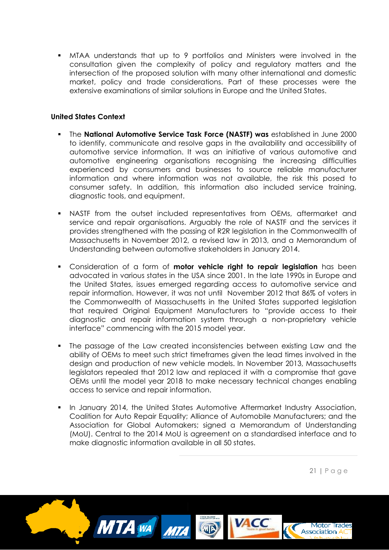MTAA understands that up to 9 portfolios and Ministers were involved in the consultation given the complexity of policy and regulatory matters and the intersection of the proposed solution with many other international and domestic market, policy and trade considerations. Part of these processes were the extensive examinations of similar solutions in Europe and the United States.

## **United States Context**

- The **National Automotive Service Task Force (NASTF) was** established in June 2000 to identify, communicate and resolve gaps in the availability and accessibility of automotive service information. It was an initiative of various automotive and automotive engineering organisations recognising the increasing difficulties experienced by consumers and businesses to source reliable manufacturer information and where information was not available, the risk this posed to consumer safety. In addition, this information also included service training, diagnostic tools, and equipment.
- NASTF from the outset included representatives from OEMs, aftermarket and service and repair organisations. Arguably the role of NASTF and the services it provides strengthened with the passing of R2R legislation in the Commonwealth of Massachusetts in November 2012, a revised law in 2013, and a Memorandum of Understanding between automotive stakeholders in January 2014.
- Consideration of a form of **motor vehicle right to repair legislation** has been advocated in various states in the USA since 2001. In the late 1990s in Europe and the United States, issues emerged regarding access to automotive service and repair information. However, it was not until November 2012 that 86% of voters in the Commonwealth of Massachusetts in the United States supported legislation that required Original Equipment Manufacturers to "provide access to their diagnostic and repair information system through a non-proprietary vehicle interface" commencing with the 2015 model year.
- The passage of the Law created inconsistencies between existing Law and the ability of OEMs to meet such strict timeframes given the lead times involved in the design and production of new vehicle models. In November 2013, Massachusetts legislators repealed that 2012 law and replaced it with a compromise that gave OEMs until the model year 2018 to make necessary technical changes enabling access to service and repair information.
- In January 2014, the United States Automotive Aftermarket Industry Association, Coalition for Auto Repair Equality; Alliance of Automobile Manufacturers; and the Association for Global Automakers; signed a Memorandum of Understanding (MoU). Central to the 2014 MoU is agreement on a standardised interface and to make diagnostic information available in all 50 states.

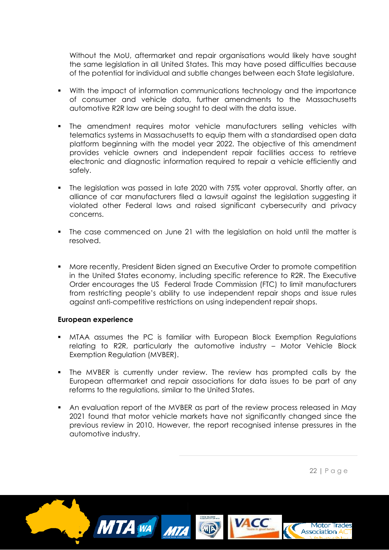Without the MoU, aftermarket and repair organisations would likely have sought the same legislation in all United States. This may have posed difficulties because of the potential for individual and subtle changes between each State legislature.

- With the impact of information communications technology and the importance of consumer and vehicle data, further amendments to the Massachusetts automotive R2R law are being sought to deal with the data issue.
- The amendment requires motor vehicle manufacturers selling vehicles with telematics systems in Massachusetts to equip them with a standardised open data platform beginning with the model year 2022. The objective of this amendment provides vehicle owners and independent repair facilities access to retrieve electronic and diagnostic information required to repair a vehicle efficiently and safely.
- The legislation was passed in late 2020 with 75% voter approval. Shortly after, an alliance of car manufacturers filed a lawsuit against the legislation suggesting it violated other Federal laws and raised significant cybersecurity and privacy concerns.
- The case commenced on June 21 with the legislation on hold until the matter is resolved.
- More recently, President Biden signed an Executive Order to promote competition in the United States economy, including specific reference to R2R. The Executive Order encourages the US Federal Trade Commission (FTC) to limit manufacturers from restricting people's ability to use independent repair shops and issue rules against anti-competitive restrictions on using independent repair shops.

#### **European experience**

- MTAA assumes the PC is familiar with European Block Exemption Regulations relating to R2R, particularly the automotive industry – Motor Vehicle Block Exemption Regulation (MVBER).
- The MVBER is currently under review. The review has prompted calls by the European aftermarket and repair associations for data issues to be part of any reforms to the regulations, similar to the United States.
- An evaluation report of the MVBER as part of the review process released in May 2021 found that motor vehicle markets have not significantly changed since the previous review in 2010. However, the report recognised intense pressures in the automotive industry.

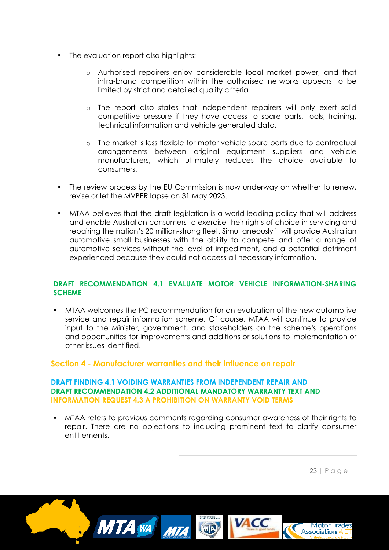- The evaluation report also highlights:
	- o Authorised repairers enjoy considerable local market power, and that intra-brand competition within the authorised networks appears to be limited by strict and detailed quality criteria
	- o The report also states that independent repairers will only exert solid competitive pressure if they have access to spare parts, tools, training, technical information and vehicle generated data.
	- o The market is less flexible for motor vehicle spare parts due to contractual arrangements between original equipment suppliers and vehicle manufacturers, which ultimately reduces the choice available to consumers.
- The review process by the EU Commission is now underway on whether to renew, revise or let the MVBER lapse on 31 May 2023.
- MTAA believes that the draft legislation is a world-leading policy that will address and enable Australian consumers to exercise their rights of choice in servicing and repairing the nation's 20 million-strong fleet. Simultaneously it will provide Australian automotive small businesses with the ability to compete and offer a range of automotive services without the level of impediment, and a potential detriment experienced because they could not access all necessary information.

## **DRAFT RECOMMENDATION 4.1 EVALUATE MOTOR VEHICLE INFORMATION-SHARING SCHEME**

 MTAA welcomes the PC recommendation for an evaluation of the new automotive service and repair information scheme. Of course, MTAA will continue to provide input to the Minister, government, and stakeholders on the scheme's operations and opportunities for improvements and additions or solutions to implementation or other issues identified.

# **Section 4 - Manufacturer warranties and their influence on repair**

#### **DRAFT FINDING 4.1 VOIDING WARRANTIES FROM INDEPENDENT REPAIR AND DRAFT RECOMMENDATION 4.2 ADDITIONAL MANDATORY WARRANTY TEXT AND INFORMATION REQUEST 4.3 A PROHIBITION ON WARRANTY VOID TERMS**

 MTAA refers to previous comments regarding consumer awareness of their rights to repair. There are no objections to including prominent text to clarify consumer entitlements.

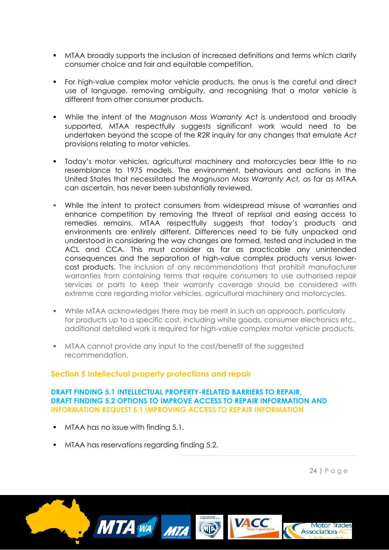- MTAA broadly supports the inclusion of increased definitions and terms which clarify consumer choice and fair and equitable competition.
- For high-value complex motor vehicle products, the onus is the careful and direct use of language, removing ambiguity, and recognising that a motor vehicle is different from other consumer products.
- While the intent of the *Magnuson Moss Warranty Act* is understood and broadly supported, MTAA respectfully suggests significant work would need to be undertaken beyond the scope of the R2R inquiry for any changes that emulate *Act* provisions relating to motor vehicles.
- Today's motor vehicles, agricultural machinery and motorcycles bear little to no resemblance to 1975 models. The environment, behaviours and actions in the United States that necessitated the *Magnuson Moss Warranty Act, a*s far as MTAA can ascertain, has never been substantially reviewed.
- While the intent to protect consumers from widespread misuse of warranties and enhance competition by removing the threat of reprisal and easing access to remedies remains, MTAA respectfully suggests that today's products and environments are entirely different. Differences need to be fully unpacked and understood in considering the way changes are formed, tested and included in the ACL and CCA. This must consider as far as practicable any unintended consequences and the separation of high-value complex products versus lowercost products. The inclusion of any recommendations that prohibit manufacturer warranties from containing terms that require consumers to use authorised repair services or parts to keep their warranty coverage should be considered with extreme care regarding motor vehicles, agricultural machinery and motorcycles.
- While MTAA acknowledges there may be merit in such an approach, particularly for products up to a specific cost, including white goods, consumer electronics etc., additional detailed work is required for high-value complex motor vehicle products.
- MTAA cannot provide any input to the cost/benefit of the suggested recommendation.

# **Section 5 Intellectual property protections and repair**

## **DRAFT FINDING 5.1 INTELLECTUAL PROPERTY-RELATED BARRIERS TO REPAIR, DRAFT FINDING 5.2 OPTIONS TO IMPROVE ACCESS TO REPAIR INFORMATION AND INFORMATION REQUEST 5.1 IMPROVING ACCESS TO REPAIR INFORMATION**

- MTAA has no issue with finding 5.1.
- **MTAA has reservations regarding finding 5.2.**

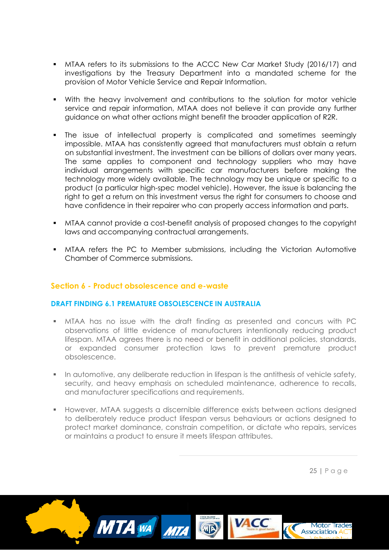- MTAA refers to its submissions to the ACCC New Car Market Study (2016/17) and investigations by the Treasury Department into a mandated scheme for the provision of Motor Vehicle Service and Repair Information.
- With the heavy involvement and contributions to the solution for motor vehicle service and repair information, MTAA does not believe it can provide any further guidance on what other actions might benefit the broader application of R2R.
- The issue of intellectual property is complicated and sometimes seemingly impossible. MTAA has consistently agreed that manufacturers must obtain a return on substantial investment. The investment can be billions of dollars over many years. The same applies to component and technology suppliers who may have individual arrangements with specific car manufacturers before making the technology more widely available. The technology may be unique or specific to a product (a particular high-spec model vehicle). However, the issue is balancing the right to get a return on this investment versus the right for consumers to choose and have confidence in their repairer who can properly access information and parts.
- MTAA cannot provide a cost-benefit analysis of proposed changes to the copyright laws and accompanying contractual arrangements.
- MTAA refers the PC to Member submissions, including the Victorian Automotive Chamber of Commerce submissions.

# **Section 6 - Product obsolescence and e-waste**

## **DRAFT FINDING 6.1 PREMATURE OBSOLESCENCE IN AUSTRALIA**

- MTAA has no issue with the draft finding as presented and concurs with PC observations of little evidence of manufacturers intentionally reducing product lifespan. MTAA agrees there is no need or benefit in additional policies, standards, or expanded consumer protection laws to prevent premature product obsolescence.
- **In automotive, any deliberate reduction in lifespan is the antithesis of vehicle safety,** security, and heavy emphasis on scheduled maintenance, adherence to recalls, and manufacturer specifications and requirements.
- However, MTAA suggests a discernible difference exists between actions designed to deliberately reduce product lifespan versus behaviours or actions designed to protect market dominance, constrain competition, or dictate who repairs, services or maintains a product to ensure it meets lifespan attributes.

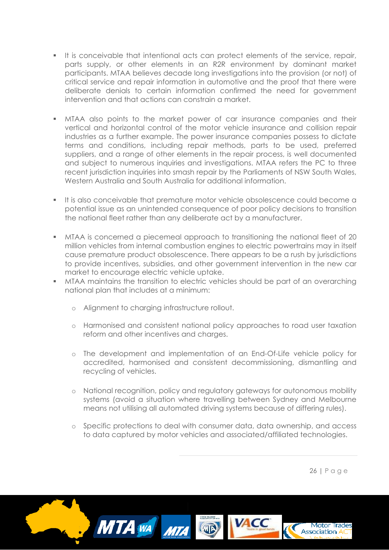- It is conceivable that intentional acts can protect elements of the service, repair, parts supply, or other elements in an R2R environment by dominant market participants. MTAA believes decade long investigations into the provision (or not) of critical service and repair information in automotive and the proof that there were deliberate denials to certain information confirmed the need for government intervention and that actions can constrain a market.
- MTAA also points to the market power of car insurance companies and their vertical and horizontal control of the motor vehicle insurance and collision repair industries as a further example. The power insurance companies possess to dictate terms and conditions, including repair methods, parts to be used, preferred suppliers, and a range of other elements in the repair process, is well documented and subject to numerous inquiries and investigations. MTAA refers the PC to three recent jurisdiction inquiries into smash repair by the Parliaments of NSW South Wales, Western Australia and South Australia for additional information.
- It is also conceivable that premature motor vehicle obsolescence could become a potential issue as an unintended consequence of poor policy decisions to transition the national fleet rather than any deliberate act by a manufacturer.
- MTAA is concerned a piecemeal approach to transitioning the national fleet of 20 million vehicles from internal combustion engines to electric powertrains may in itself cause premature product obsolescence. There appears to be a rush by jurisdictions to provide incentives, subsidies, and other government intervention in the new car market to encourage electric vehicle uptake.
- **MTAA maintains the transition to electric vehicles should be part of an overarching** national plan that includes at a minimum:
	- o Alignment to charging infrastructure rollout.
	- o Harmonised and consistent national policy approaches to road user taxation reform and other incentives and charges.
	- o The development and implementation of an End-Of-Life vehicle policy for accredited, harmonised and consistent decommissioning, dismantling and recycling of vehicles.
	- o National recognition, policy and regulatory gateways for autonomous mobility systems (avoid a situation where travelling between Sydney and Melbourne means not utilising all automated driving systems because of differing rules).
	- o Specific protections to deal with consumer data, data ownership, and access to data captured by motor vehicles and associated/affiliated technologies.

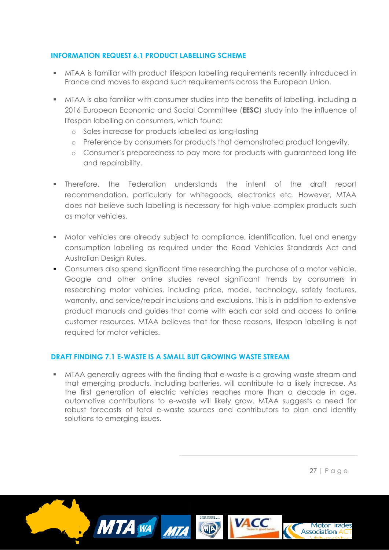# **INFORMATION REQUEST 6.1 PRODUCT LABELLING SCHEME**

- MTAA is familiar with product lifespan labelling requirements recently introduced in France and moves to expand such requirements across the European Union.
- MTAA is also familiar with consumer studies into the benefits of labelling, including a 2016 European Economic and Social Committee (**EESC**) study into the influence of lifespan labelling on consumers, which found:
	- o Sales increase for products labelled as long-lasting
	- o Preference by consumers for products that demonstrated product longevity.
	- o Consumer's preparedness to pay more for products with guaranteed long life and repairability.
- Therefore, the Federation understands the intent of the draft report recommendation, particularly for whitegoods, electronics etc. However, MTAA does not believe such labelling is necessary for high-value complex products such as motor vehicles.
- **Motor vehicles are already subject to compliance, identification, fuel and energy** consumption labelling as required under the Road Vehicles Standards Act and Australian Design Rules.
- Consumers also spend significant time researching the purchase of a motor vehicle. Google and other online studies reveal significant trends by consumers in researching motor vehicles, including price, model, technology, safety features, warranty, and service/repair inclusions and exclusions. This is in addition to extensive product manuals and guides that come with each car sold and access to online customer resources. MTAA believes that for these reasons, lifespan labelling is not required for motor vehicles.

# **DRAFT FINDING 7.1 E-WASTE IS A SMALL BUT GROWING WASTE STREAM**

 MTAA generally agrees with the finding that e-waste is a growing waste stream and that emerging products, including batteries, will contribute to a likely increase. As the first generation of electric vehicles reaches more than a decade in age, automotive contributions to e-waste will likely grow. MTAA suggests a need for robust forecasts of total e-waste sources and contributors to plan and identify solutions to emerging issues.

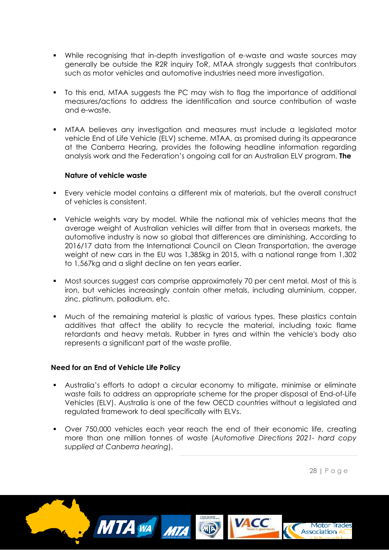- While recognising that in-depth investigation of e-waste and waste sources may generally be outside the R2R inquiry ToR, MTAA strongly suggests that contributors such as motor vehicles and automotive industries need more investigation.
- To this end, MTAA suggests the PC may wish to flag the importance of additional measures/actions to address the identification and source contribution of waste and e-waste.
- MTAA believes any investigation and measures must include a legislated motor vehicle End of Life Vehicle (ELV) scheme. MTAA, as promised during its appearance at the Canberra Hearing, provides the following headline information regarding analysis work and the Federation's ongoing call for an Australian ELV program. **The**

## **Nature of vehicle waste**

- Every vehicle model contains a different mix of materials, but the overall construct of vehicles is consistent.
- Vehicle weights vary by model. While the national mix of vehicles means that the average weight of Australian vehicles will differ from that in overseas markets, the automotive industry is now so global that differences are diminishing. According to 2016/17 data from the International Council on Clean Transportation, the average weight of new cars in the EU was 1,385kg in 2015, with a national range from 1,302 to 1,567kg and a slight decline on ten years earlier.
- Most sources suggest cars comprise approximately 70 per cent metal. Most of this is iron, but vehicles increasingly contain other metals, including aluminium, copper, zinc, platinum, palladium, etc.
- **Much of the remaining material is plastic of various types. These plastics contain** additives that affect the ability to recycle the material, including toxic flame retardants and heavy metals. Rubber in tyres and within the vehicle's body also represents a significant part of the waste profile.

# **Need for an End of Vehicle Life Policy**

- Australia's efforts to adopt a circular economy to mitigate, minimise or eliminate waste fails to address an appropriate scheme for the proper disposal of End-of-Life Vehicles (ELV). Australia is one of the few OECD countries without a legislated and regulated framework to deal specifically with ELVs.
- Over 750,000 vehicles each year reach the end of their economic life, creating more than one million tonnes of waste (*Automotive Directions 2021- hard copy supplied at Canberra hearing*).

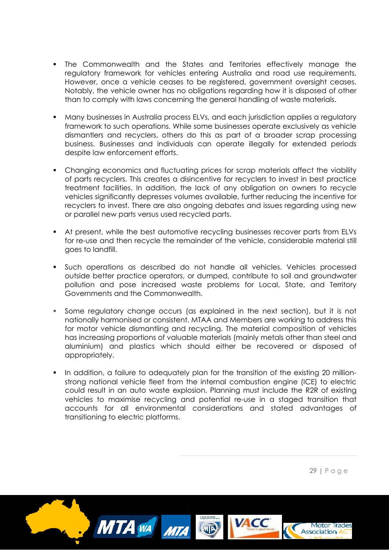- The Commonwealth and the States and Territories effectively manage the regulatory framework for vehicles entering Australia and road use requirements. However, once a vehicle ceases to be registered, government oversight ceases. Notably, the vehicle owner has no obligations regarding how it is disposed of other than to comply with laws concerning the general handling of waste materials.
- Many businesses in Australia process ELVs, and each jurisdiction applies a regulatory framework to such operations. While some businesses operate exclusively as vehicle dismantlers and recyclers, others do this as part of a broader scrap processing business. Businesses and individuals can operate illegally for extended periods despite law enforcement efforts.
- Changing economics and fluctuating prices for scrap materials affect the viability of parts recyclers. This creates a disincentive for recyclers to invest in best practice treatment facilities. In addition, the lack of any obligation on owners to recycle vehicles significantly depresses volumes available, further reducing the incentive for recyclers to invest. There are also ongoing debates and issues regarding using new or parallel new parts versus used recycled parts.
- At present, while the best automotive recycling businesses recover parts from ELVs for re-use and then recycle the remainder of the vehicle, considerable material still goes to landfill.
- Such operations as described do not handle all vehicles. Vehicles processed outside better practice operators, or dumped, contribute to soil and groundwater pollution and pose increased waste problems for Local, State, and Territory Governments and the Commonwealth.
- Some regulatory change occurs (as explained in the next section), but it is not nationally harmonised or consistent. MTAA and Members are working to address this for motor vehicle dismantling and recycling. The material composition of vehicles has increasing proportions of valuable materials (mainly metals other than steel and aluminium) and plastics which should either be recovered or disposed of appropriately.
- In addition, a failure to adequately plan for the transition of the existing 20 millionstrong national vehicle fleet from the internal combustion engine (ICE) to electric could result in an auto waste explosion. Planning must include the R2R of existing vehicles to maximise recycling and potential re-use in a staged transition that accounts for all environmental considerations and stated advantages of transitioning to electric platforms.

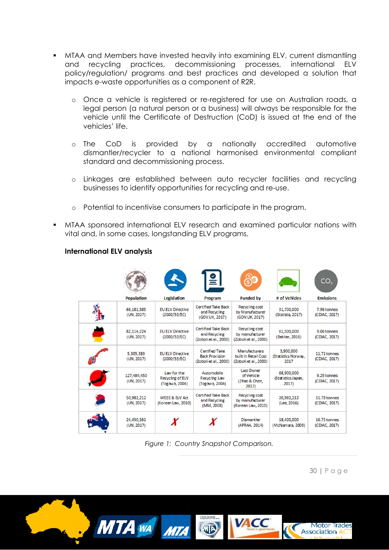- MTAA and Members have invested heavily into examining ELV, current dismantling and recycling practices, decommissioning processes, international ELV policy/regulation/ programs and best practices and developed a solution that impacts e-waste opportunities as a component of R2R.
	- o Once a vehicle is registered or re-registered for use on Australian roads, a legal person (a natural person or a business) will always be responsible for the vehicle until the Certificate of Destruction (CoD) is issued at the end of the vehicles' life.
	- o The CoD is provided by a nationally accredited automotive dismantler/recycler to a national harmonised environmental compliant standard and decommissioning process.
	- o Linkages are established between auto recycler facilities and recycling businesses to identify opportunities for recycling and re-use.
	- o Potential to incentivise consumers to participate in the program.
- MTAA sponsored international ELV research and examined particular nations with vital and, in some cases, longstanding ELV programs.

# **International ELV analysis**

|                           |                                                          | $\frac{16}{2}$                                                       | <b>BIS</b>                                                            |                                           | CO <sub>2</sub>               |
|---------------------------|----------------------------------------------------------|----------------------------------------------------------------------|-----------------------------------------------------------------------|-------------------------------------------|-------------------------------|
| <b>Population</b>         | <b>Legislation</b>                                       | Program                                                              | <b>Funded by</b>                                                      | # of Vehicles                             | <b>Emissions</b>              |
| 66,181,585<br>(UN, 2017)  | <b>EU ELV Directive</b><br>(2000/53/EC)                  | <b>Certified Take Back</b><br>and Recycling<br>(GOV.UK, 2017)        | <b>Recycling cost</b><br>by Manufacturer<br>(GOV.UK, 2017)            | 31,700,000<br>(Statista, 2017)            | 7.96 tonnes<br>(CDIAC, 2017)  |
| 82,114,224<br>(UN, 2017)  | <b>EU ELV Directive</b><br>(2000/53/EC)                  | <b>Certified Take Back</b><br>and Recycling<br>(Zoboli et al., 2000) | Recycling cost<br>by manufacturer<br>(Zoboli et al., 2000)            | 61,500,000<br>(Bekker, 2016)              | 9.06 tonnes<br>(CDIAC, 2017)  |
| 5,305,383<br>(UN, 2017)   | <b>EU ELV Directive</b><br>(2000/53/EC)                  | Certified Take<br><b>Back Provision</b><br>(Zoboli et al., 2000)     | <b>Manufacturers</b><br>built in Retail Cost<br>(Zoboli et al., 2000) | 3,900,000<br>(Statistics Norway,<br>2017  | 11.71 tonnes<br>(CDIAC, 2017) |
| 127,484,450<br>(UN, 2017) | Law for the<br><b>Recycling of ELV</b><br>(Togawa, 2004) | Automobile<br>Recycling Law<br>(Togawa 2004)                         | Last Owner<br>of Vehicle<br>(Zhao & Chen,<br>2017)                    | 68,900,000<br>(Statistics Japan,<br>2017) | 9.25 tonnes<br>(CDIAC, 2017)  |
| 50,982,212<br>(UN, 2017)  | <b>WEEE &amp; ELV Act</b><br>(Korean Law, 2010)          | <b>Certified Take Back</b><br>and Recycling<br>(MM, 2008)            | Recycling cost<br>by manufacturer<br>(Korean Law, 2010)               | 20,982,212<br>(Lee, 2016)                 | 11.78 tonnes<br>(CDIAC, 2017) |
| 24,450,561<br>(UN, 2017)  |                                                          |                                                                      | <b>Dismantler</b><br>(APRAA, 2014)                                    | 18,400,000<br>(McNamara, 2009)            | 16.75 tonnes<br>(CDIAC, 2017) |

*Figure 1: Country Snapshot Comparison.*

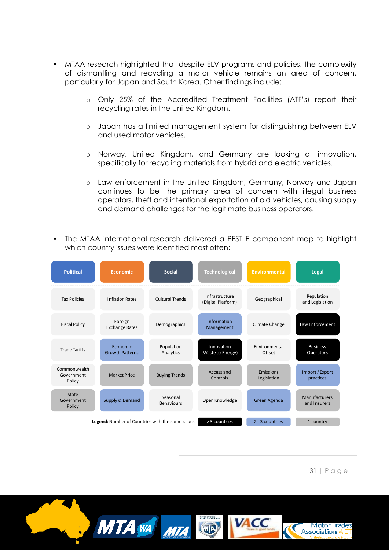- MTAA research highlighted that despite ELV programs and policies, the complexity of dismantling and recycling a motor vehicle remains an area of concern, particularly for Japan and South Korea. Other findings include:
	- o Only 25% of the Accredited Treatment Facilities (ATF's) report their recycling rates in the United Kingdom.
	- o Japan has a limited management system for distinguishing between ELV and used motor vehicles.
	- o Norway, United Kingdom, and Germany are looking at innovation, specifically for recycling materials from hybrid and electric vehicles.
	- o Law enforcement in the United Kingdom, Germany, Norway and Japan continues to be the primary area of concern with illegal business operators, theft and intentional exportation of old vehicles, causing supply and demand challenges for the legitimate business operators.
- The MTAA international research delivered a PESTLE component map to highlight which country issues were identified most often:



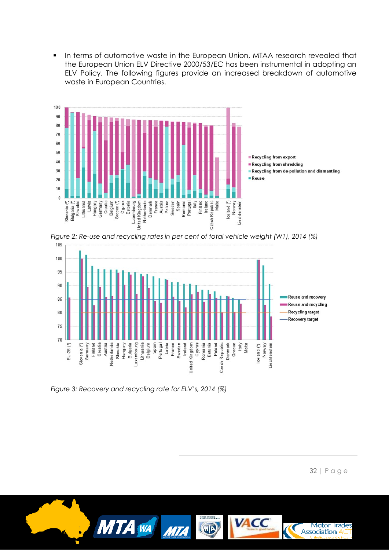**In terms of automotive waste in the European Union, MTAA research revealed that** the European Union ELV Directive 2000/53/EC has been instrumental in adopting an ELV Policy. The following figures provide an increased breakdown of automotive waste in European Countries.







*Figure 3: Recovery and recycling rate for ELV's, 2014 (%)*

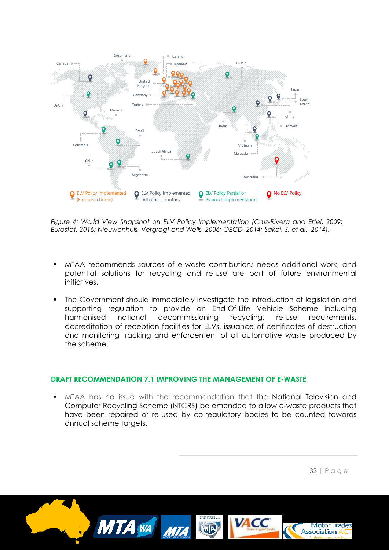

*Figure 4: World View Snapshot on ELV Policy Implementation (Cruz-Rivera and Ertel, 2009; Eurostat, 2016; Nieuwenhuis, Vergragt and Wells, 2006; OECD, 2014; Sakai, S. et al., 2014).*

- MTAA recommends sources of e-waste contributions needs additional work, and potential solutions for recycling and re-use are part of future environmental initiatives.
- The Government should immediately investigate the introduction of legislation and supporting regulation to provide an End-Of-Life Vehicle Scheme including harmonised national decommissioning recycling, re-use requirements, accreditation of reception facilities for ELVs, issuance of certificates of destruction and monitoring tracking and enforcement of all automotive waste produced by the scheme.

## **DRAFT RECOMMENDATION 7.1 IMPROVING THE MANAGEMENT OF E-WASTE**

 MTAA has no issue with the recommendation that the National Television and Computer Recycling Scheme (NTCRS) be amended to allow e-waste products that have been repaired or re-used by co-regulatory bodies to be counted towards annual scheme targets.